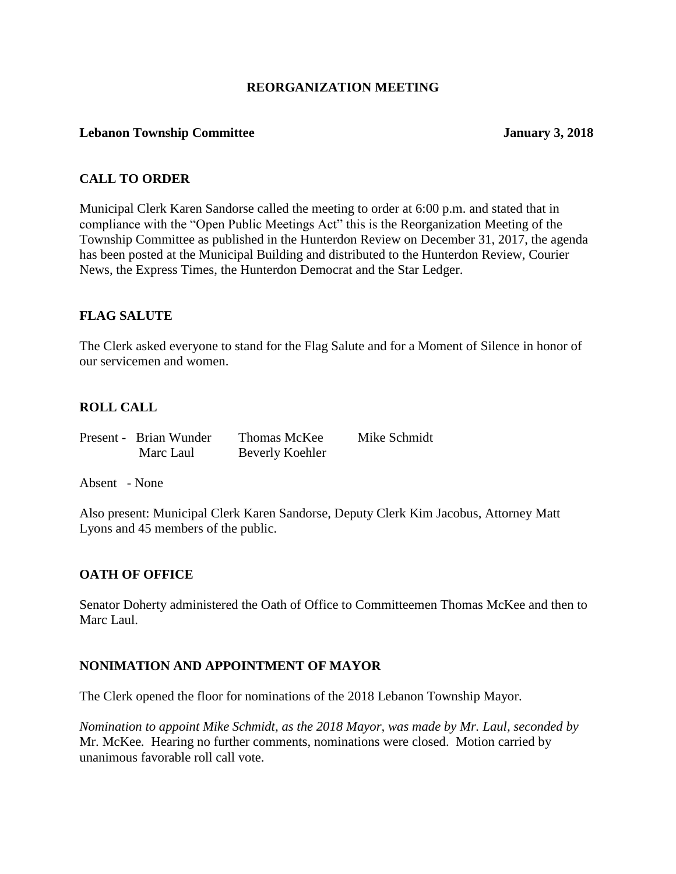## **REORGANIZATION MEETING**

#### **Lebanon Township Committee January 3, 2018**

# **CALL TO ORDER**

Municipal Clerk Karen Sandorse called the meeting to order at 6:00 p.m. and stated that in compliance with the "Open Public Meetings Act" this is the Reorganization Meeting of the Township Committee as published in the Hunterdon Review on December 31, 2017, the agenda has been posted at the Municipal Building and distributed to the Hunterdon Review, Courier News, the Express Times, the Hunterdon Democrat and the Star Ledger.

# **FLAG SALUTE**

The Clerk asked everyone to stand for the Flag Salute and for a Moment of Silence in honor of our servicemen and women.

# **ROLL CALL**

| Present - Brian Wunder | <b>Thomas McKee</b> | Mike Schmidt |
|------------------------|---------------------|--------------|
| Marc Laul              | Beverly Koehler     |              |

Absent - None

Also present: Municipal Clerk Karen Sandorse, Deputy Clerk Kim Jacobus, Attorney Matt Lyons and 45 members of the public.

#### **OATH OF OFFICE**

Senator Doherty administered the Oath of Office to Committeemen Thomas McKee and then to Marc Laul.

#### **NONIMATION AND APPOINTMENT OF MAYOR**

The Clerk opened the floor for nominations of the 2018 Lebanon Township Mayor.

*Nomination to appoint Mike Schmidt, as the 2018 Mayor, was made by Mr. Laul, seconded by* Mr. McKee*.* Hearing no further comments, nominations were closed. Motion carried by unanimous favorable roll call vote.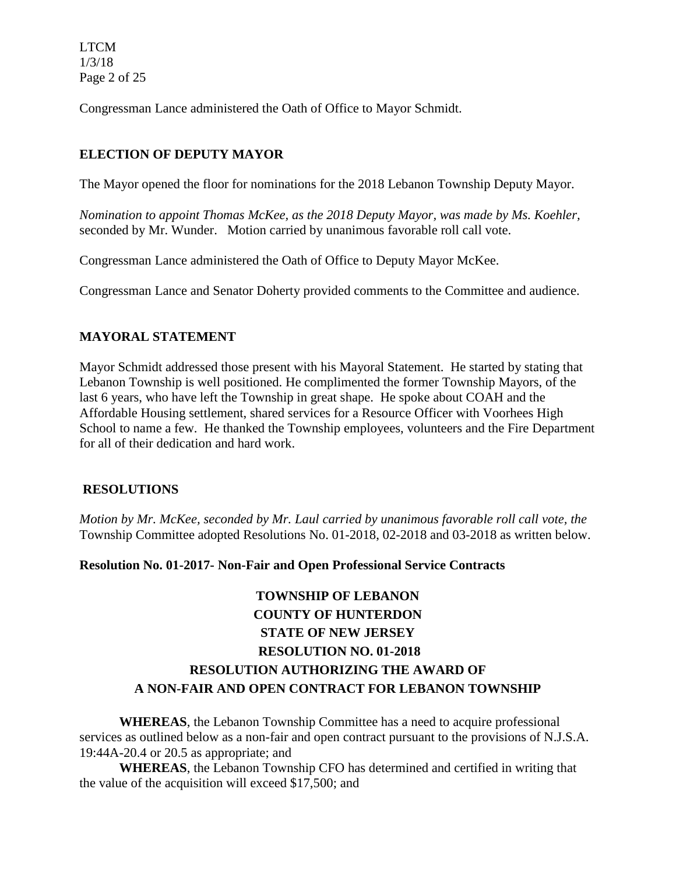LTCM 1/3/18 Page 2 of 25

Congressman Lance administered the Oath of Office to Mayor Schmidt.

# **ELECTION OF DEPUTY MAYOR**

The Mayor opened the floor for nominations for the 2018 Lebanon Township Deputy Mayor.

*Nomination to appoint Thomas McKee, as the 2018 Deputy Mayor, was made by Ms. Koehler,*  seconded by Mr. Wunder. Motion carried by unanimous favorable roll call vote.

Congressman Lance administered the Oath of Office to Deputy Mayor McKee.

Congressman Lance and Senator Doherty provided comments to the Committee and audience.

# **MAYORAL STATEMENT**

Mayor Schmidt addressed those present with his Mayoral Statement. He started by stating that Lebanon Township is well positioned. He complimented the former Township Mayors, of the last 6 years, who have left the Township in great shape. He spoke about COAH and the Affordable Housing settlement, shared services for a Resource Officer with Voorhees High School to name a few. He thanked the Township employees, volunteers and the Fire Department for all of their dedication and hard work.

# **RESOLUTIONS**

*Motion by Mr. McKee, seconded by Mr. Laul carried by unanimous favorable roll call vote, the* Township Committee adopted Resolutions No. 01-2018, 02-2018 and 03-2018 as written below.

#### **Resolution No. 01-2017- Non-Fair and Open Professional Service Contracts**

# **TOWNSHIP OF LEBANON COUNTY OF HUNTERDON STATE OF NEW JERSEY RESOLUTION NO. 01-2018 RESOLUTION AUTHORIZING THE AWARD OF A NON-FAIR AND OPEN CONTRACT FOR LEBANON TOWNSHIP**

**WHEREAS**, the Lebanon Township Committee has a need to acquire professional services as outlined below as a non-fair and open contract pursuant to the provisions of N.J.S.A. 19:44A-20.4 or 20.5 as appropriate; and

**WHEREAS**, the Lebanon Township CFO has determined and certified in writing that the value of the acquisition will exceed \$17,500; and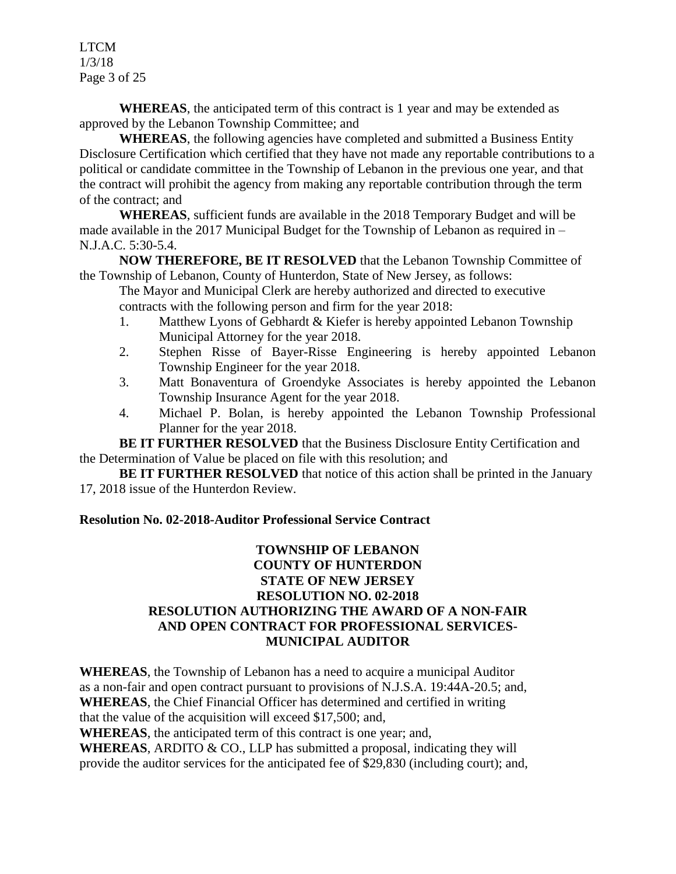LTCM 1/3/18 Page 3 of 25

**WHEREAS**, the anticipated term of this contract is 1 year and may be extended as approved by the Lebanon Township Committee; and

**WHEREAS**, the following agencies have completed and submitted a Business Entity Disclosure Certification which certified that they have not made any reportable contributions to a political or candidate committee in the Township of Lebanon in the previous one year, and that the contract will prohibit the agency from making any reportable contribution through the term of the contract; and

**WHEREAS**, sufficient funds are available in the 2018 Temporary Budget and will be made available in the 2017 Municipal Budget for the Township of Lebanon as required in – N.J.A.C. 5:30-5.4.

**NOW THEREFORE, BE IT RESOLVED** that the Lebanon Township Committee of the Township of Lebanon, County of Hunterdon, State of New Jersey, as follows:

The Mayor and Municipal Clerk are hereby authorized and directed to executive contracts with the following person and firm for the year 2018:

- 1. Matthew Lyons of Gebhardt & Kiefer is hereby appointed Lebanon Township Municipal Attorney for the year 2018.
- 2. Stephen Risse of Bayer-Risse Engineering is hereby appointed Lebanon Township Engineer for the year 2018.
- 3. Matt Bonaventura of Groendyke Associates is hereby appointed the Lebanon Township Insurance Agent for the year 2018.
- 4. Michael P. Bolan, is hereby appointed the Lebanon Township Professional Planner for the year 2018.

**BE IT FURTHER RESOLVED** that the Business Disclosure Entity Certification and the Determination of Value be placed on file with this resolution; and

**BE IT FURTHER RESOLVED** that notice of this action shall be printed in the January 17, 2018 issue of the Hunterdon Review.

# **Resolution No. 02-2018-Auditor Professional Service Contract**

# **TOWNSHIP OF LEBANON COUNTY OF HUNTERDON STATE OF NEW JERSEY RESOLUTION NO. 02-2018 RESOLUTION AUTHORIZING THE AWARD OF A NON-FAIR AND OPEN CONTRACT FOR PROFESSIONAL SERVICES-MUNICIPAL AUDITOR**

**WHEREAS**, the Township of Lebanon has a need to acquire a municipal Auditor as a non-fair and open contract pursuant to provisions of N.J.S.A. 19:44A-20.5; and, **WHEREAS**, the Chief Financial Officer has determined and certified in writing that the value of the acquisition will exceed \$17,500; and,

**WHEREAS**, the anticipated term of this contract is one year; and,

WHEREAS, ARDITO & CO., LLP has submitted a proposal, indicating they will provide the auditor services for the anticipated fee of \$29,830 (including court); and,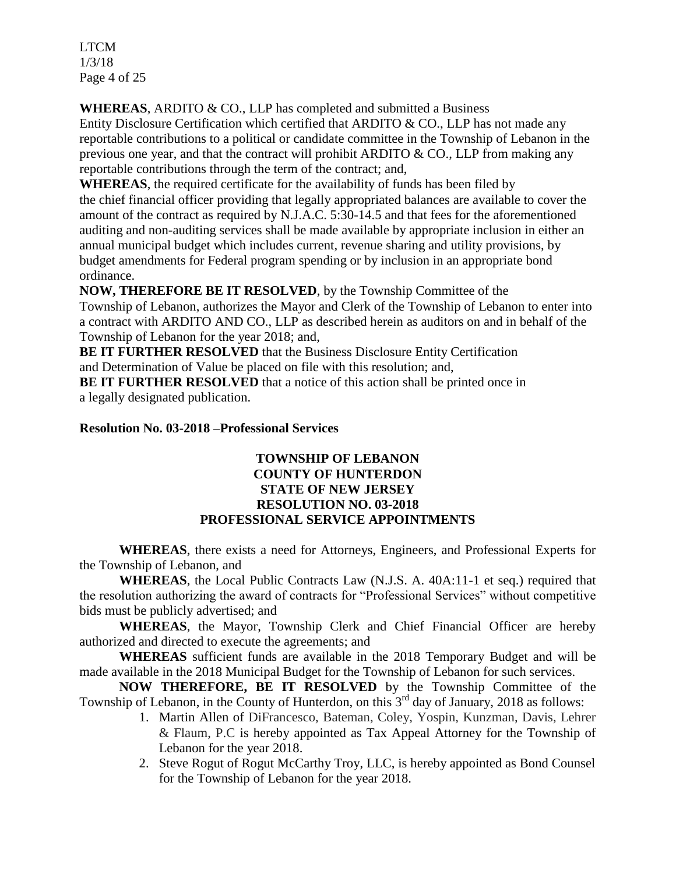LTCM 1/3/18 Page 4 of 25

**WHEREAS**, ARDITO & CO., LLP has completed and submitted a Business

Entity Disclosure Certification which certified that ARDITO & CO., LLP has not made any reportable contributions to a political or candidate committee in the Township of Lebanon in the previous one year, and that the contract will prohibit ARDITO & CO., LLP from making any reportable contributions through the term of the contract; and,

**WHEREAS**, the required certificate for the availability of funds has been filed by the chief financial officer providing that legally appropriated balances are available to cover the amount of the contract as required by N.J.A.C. 5:30-14.5 and that fees for the aforementioned auditing and non-auditing services shall be made available by appropriate inclusion in either an annual municipal budget which includes current, revenue sharing and utility provisions, by budget amendments for Federal program spending or by inclusion in an appropriate bond ordinance.

**NOW, THEREFORE BE IT RESOLVED**, by the Township Committee of the Township of Lebanon, authorizes the Mayor and Clerk of the Township of Lebanon to enter into a contract with ARDITO AND CO., LLP as described herein as auditors on and in behalf of the Township of Lebanon for the year 2018; and,

**BE IT FURTHER RESOLVED** that the Business Disclosure Entity Certification and Determination of Value be placed on file with this resolution; and,

**BE IT FURTHER RESOLVED** that a notice of this action shall be printed once in a legally designated publication.

#### **Resolution No. 03-2018 –Professional Services**

# **TOWNSHIP OF LEBANON COUNTY OF HUNTERDON STATE OF NEW JERSEY RESOLUTION NO. 03-2018 PROFESSIONAL SERVICE APPOINTMENTS**

**WHEREAS**, there exists a need for Attorneys, Engineers, and Professional Experts for the Township of Lebanon, and

**WHEREAS**, the Local Public Contracts Law (N.J.S. A. 40A:11-1 et seq.) required that the resolution authorizing the award of contracts for "Professional Services" without competitive bids must be publicly advertised; and

**WHEREAS**, the Mayor, Township Clerk and Chief Financial Officer are hereby authorized and directed to execute the agreements; and

**WHEREAS** sufficient funds are available in the 2018 Temporary Budget and will be made available in the 2018 Municipal Budget for the Township of Lebanon for such services.

**NOW THEREFORE, BE IT RESOLVED** by the Township Committee of the Township of Lebanon, in the County of Hunterdon, on this 3<sup>rd</sup> day of January, 2018 as follows:

- 1. Martin Allen of DiFrancesco, Bateman, Coley, Yospin, Kunzman, Davis, Lehrer & Flaum, P.C is hereby appointed as Tax Appeal Attorney for the Township of Lebanon for the year 2018.
- 2. Steve Rogut of Rogut McCarthy Troy, LLC, is hereby appointed as Bond Counsel for the Township of Lebanon for the year 2018.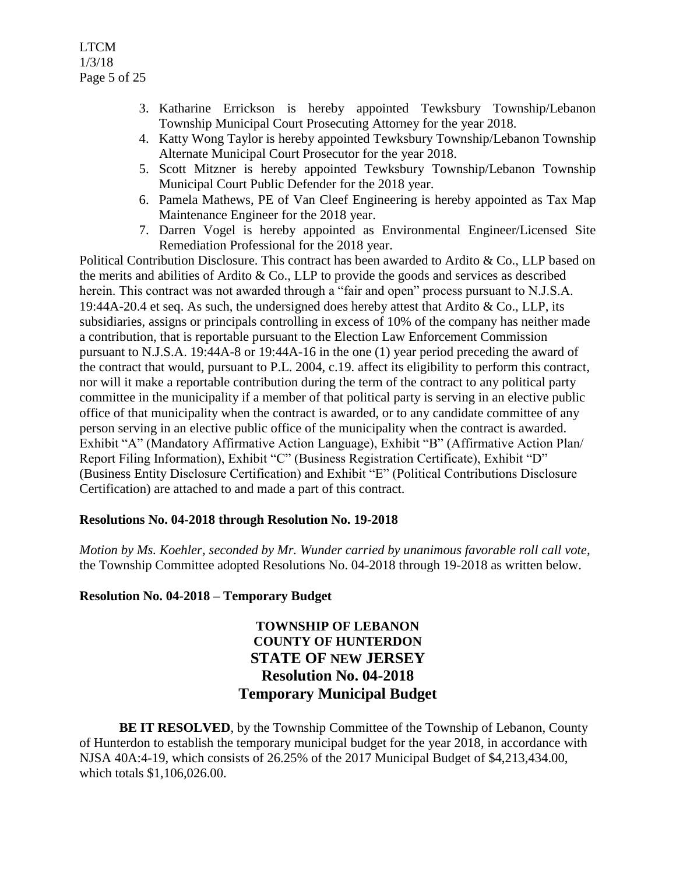LTCM 1/3/18 Page 5 of 25

- 3. Katharine Errickson is hereby appointed Tewksbury Township/Lebanon Township Municipal Court Prosecuting Attorney for the year 2018.
- 4. Katty Wong Taylor is hereby appointed Tewksbury Township/Lebanon Township Alternate Municipal Court Prosecutor for the year 2018.
- 5. Scott Mitzner is hereby appointed Tewksbury Township/Lebanon Township Municipal Court Public Defender for the 2018 year.
- 6. Pamela Mathews, PE of Van Cleef Engineering is hereby appointed as Tax Map Maintenance Engineer for the 2018 year.
- 7. Darren Vogel is hereby appointed as Environmental Engineer/Licensed Site Remediation Professional for the 2018 year.

Political Contribution Disclosure. This contract has been awarded to Ardito & Co., LLP based on the merits and abilities of Ardito  $\&$  Co., LLP to provide the goods and services as described herein. This contract was not awarded through a "fair and open" process pursuant to N.J.S.A. 19:44A-20.4 et seq. As such, the undersigned does hereby attest that Ardito  $\&$  Co., LLP, its subsidiaries, assigns or principals controlling in excess of 10% of the company has neither made a contribution, that is reportable pursuant to the Election Law Enforcement Commission pursuant to N.J.S.A. 19:44A-8 or 19:44A-16 in the one (1) year period preceding the award of the contract that would, pursuant to P.L. 2004, c.19. affect its eligibility to perform this contract, nor will it make a reportable contribution during the term of the contract to any political party committee in the municipality if a member of that political party is serving in an elective public office of that municipality when the contract is awarded, or to any candidate committee of any person serving in an elective public office of the municipality when the contract is awarded. Exhibit "A" (Mandatory Affirmative Action Language), Exhibit "B" (Affirmative Action Plan/ Report Filing Information), Exhibit "C" (Business Registration Certificate), Exhibit "D" (Business Entity Disclosure Certification) and Exhibit "E" (Political Contributions Disclosure Certification) are attached to and made a part of this contract.

# **Resolutions No. 04-2018 through Resolution No. 19-2018**

*Motion by Ms. Koehler, seconded by Mr. Wunder carried by unanimous favorable roll call vote,*  the Township Committee adopted Resolutions No. 04-2018 through 19-2018 as written below.

# **Resolution No. 04-2018 – Temporary Budget**

# **TOWNSHIP OF LEBANON COUNTY OF HUNTERDON STATE OF NEW JERSEY Resolution No. 04-2018 Temporary Municipal Budget**

**BE IT RESOLVED**, by the Township Committee of the Township of Lebanon, County of Hunterdon to establish the temporary municipal budget for the year 2018, in accordance with NJSA 40A:4-19, which consists of 26.25% of the 2017 Municipal Budget of \$4,213,434.00, which totals \$1,106,026.00.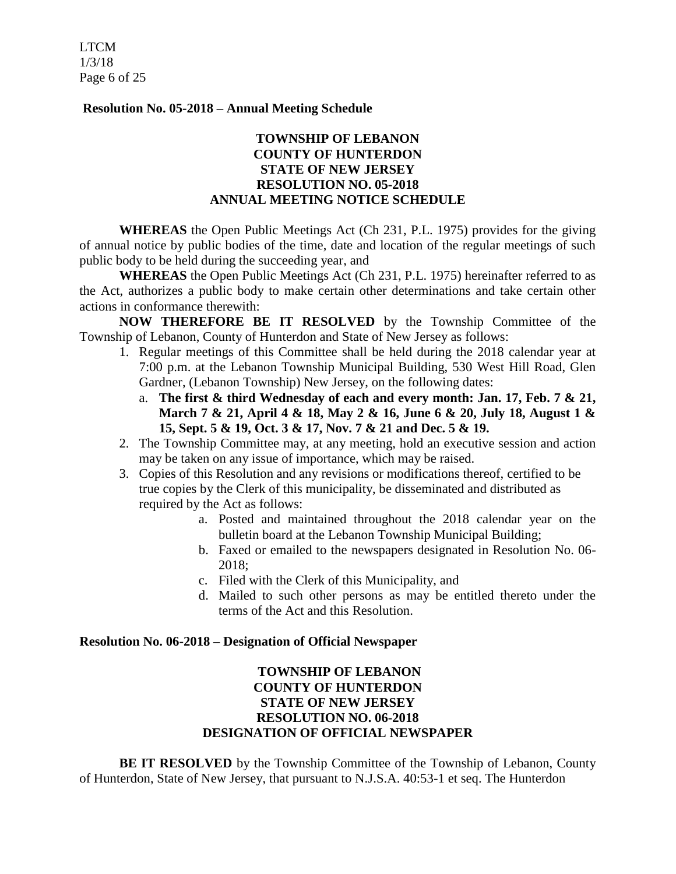LTCM 1/3/18 Page 6 of 25

#### **Resolution No. 05-2018 – Annual Meeting Schedule**

# **TOWNSHIP OF LEBANON COUNTY OF HUNTERDON STATE OF NEW JERSEY RESOLUTION NO. 05-2018 ANNUAL MEETING NOTICE SCHEDULE**

**WHEREAS** the Open Public Meetings Act (Ch 231, P.L. 1975) provides for the giving of annual notice by public bodies of the time, date and location of the regular meetings of such public body to be held during the succeeding year, and

**WHEREAS** the Open Public Meetings Act (Ch 231, P.L. 1975) hereinafter referred to as the Act, authorizes a public body to make certain other determinations and take certain other actions in conformance therewith:

**NOW THEREFORE BE IT RESOLVED** by the Township Committee of the Township of Lebanon, County of Hunterdon and State of New Jersey as follows:

- 1. Regular meetings of this Committee shall be held during the 2018 calendar year at 7:00 p.m. at the Lebanon Township Municipal Building, 530 West Hill Road, Glen Gardner, (Lebanon Township) New Jersey, on the following dates:
	- a. **The first & third Wednesday of each and every month: Jan. 17, Feb. 7 & 21, March 7 & 21, April 4 & 18, May 2 & 16, June 6 & 20, July 18, August 1 & 15, Sept. 5 & 19, Oct. 3 & 17, Nov. 7 & 21 and Dec. 5 & 19.**
- 2. The Township Committee may, at any meeting, hold an executive session and action may be taken on any issue of importance, which may be raised.
- 3. Copies of this Resolution and any revisions or modifications thereof, certified to be true copies by the Clerk of this municipality, be disseminated and distributed as required by the Act as follows:
	- a. Posted and maintained throughout the 2018 calendar year on the bulletin board at the Lebanon Township Municipal Building;
	- b. Faxed or emailed to the newspapers designated in Resolution No. 06- 2018;
	- c. Filed with the Clerk of this Municipality, and
	- d. Mailed to such other persons as may be entitled thereto under the terms of the Act and this Resolution.

#### **Resolution No. 06-2018 – Designation of Official Newspaper**

# **TOWNSHIP OF LEBANON COUNTY OF HUNTERDON STATE OF NEW JERSEY RESOLUTION NO. 06-2018 DESIGNATION OF OFFICIAL NEWSPAPER**

**BE IT RESOLVED** by the Township Committee of the Township of Lebanon, County of Hunterdon, State of New Jersey, that pursuant to N.J.S.A. 40:53-1 et seq. The Hunterdon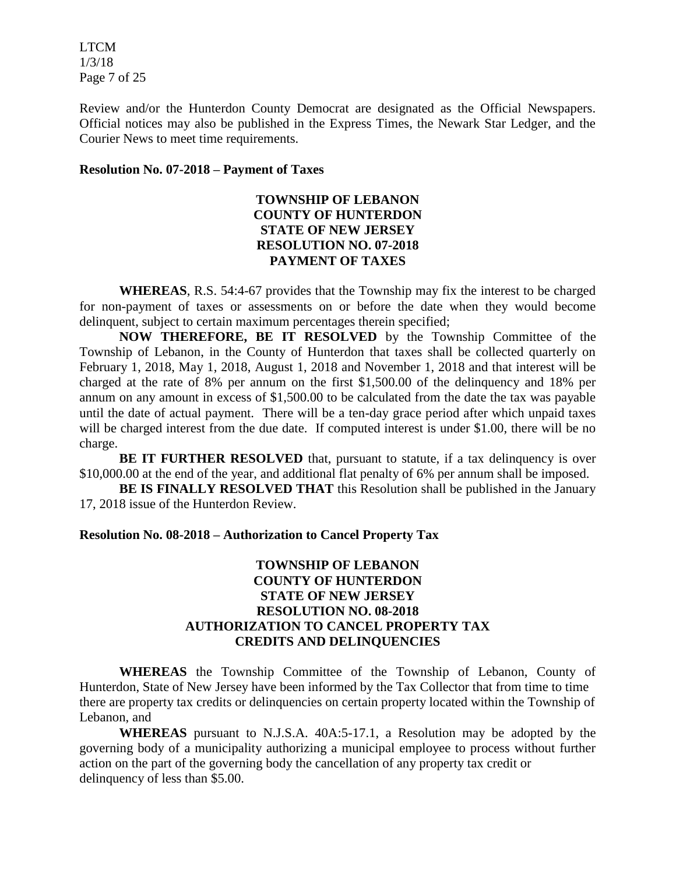LTCM 1/3/18 Page 7 of 25

Review and/or the Hunterdon County Democrat are designated as the Official Newspapers. Official notices may also be published in the Express Times, the Newark Star Ledger, and the Courier News to meet time requirements.

#### **Resolution No. 07-2018 – Payment of Taxes**

# **TOWNSHIP OF LEBANON COUNTY OF HUNTERDON STATE OF NEW JERSEY RESOLUTION NO. 07-2018 PAYMENT OF TAXES**

**WHEREAS**, R.S. 54:4-67 provides that the Township may fix the interest to be charged for non-payment of taxes or assessments on or before the date when they would become delinquent, subject to certain maximum percentages therein specified;

**NOW THEREFORE, BE IT RESOLVED** by the Township Committee of the Township of Lebanon, in the County of Hunterdon that taxes shall be collected quarterly on February 1, 2018, May 1, 2018, August 1, 2018 and November 1, 2018 and that interest will be charged at the rate of 8% per annum on the first \$1,500.00 of the delinquency and 18% per annum on any amount in excess of \$1,500.00 to be calculated from the date the tax was payable until the date of actual payment. There will be a ten-day grace period after which unpaid taxes will be charged interest from the due date. If computed interest is under \$1.00, there will be no charge.

**BE IT FURTHER RESOLVED** that, pursuant to statute, if a tax delinquency is over \$10,000.00 at the end of the year, and additional flat penalty of 6% per annum shall be imposed.

**BE IS FINALLY RESOLVED THAT** this Resolution shall be published in the January 17, 2018 issue of the Hunterdon Review.

#### **Resolution No. 08-2018 – Authorization to Cancel Property Tax**

## **TOWNSHIP OF LEBANON COUNTY OF HUNTERDON STATE OF NEW JERSEY RESOLUTION NO. 08-2018 AUTHORIZATION TO CANCEL PROPERTY TAX CREDITS AND DELINQUENCIES**

**WHEREAS** the Township Committee of the Township of Lebanon, County of Hunterdon, State of New Jersey have been informed by the Tax Collector that from time to time there are property tax credits or delinquencies on certain property located within the Township of Lebanon, and

**WHEREAS** pursuant to N.J.S.A. 40A:5-17.1, a Resolution may be adopted by the governing body of a municipality authorizing a municipal employee to process without further action on the part of the governing body the cancellation of any property tax credit or delinquency of less than \$5.00.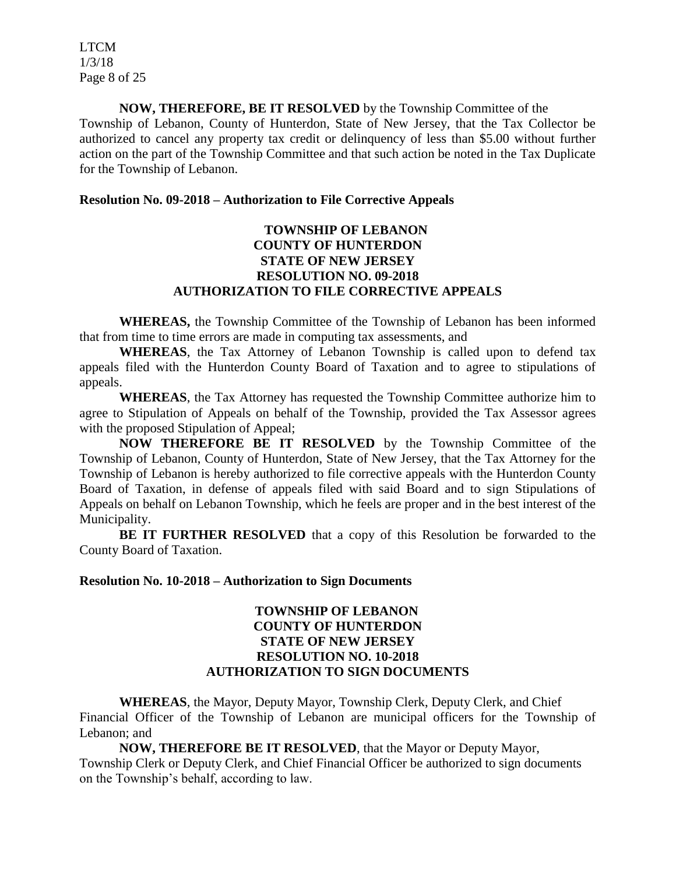LTCM 1/3/18 Page 8 of 25

**NOW, THEREFORE, BE IT RESOLVED** by the Township Committee of the Township of Lebanon, County of Hunterdon, State of New Jersey, that the Tax Collector be authorized to cancel any property tax credit or delinquency of less than \$5.00 without further action on the part of the Township Committee and that such action be noted in the Tax Duplicate for the Township of Lebanon.

#### **Resolution No. 09-2018 – Authorization to File Corrective Appeals**

# **TOWNSHIP OF LEBANON COUNTY OF HUNTERDON STATE OF NEW JERSEY RESOLUTION NO. 09-2018 AUTHORIZATION TO FILE CORRECTIVE APPEALS**

**WHEREAS,** the Township Committee of the Township of Lebanon has been informed that from time to time errors are made in computing tax assessments, and

**WHEREAS**, the Tax Attorney of Lebanon Township is called upon to defend tax appeals filed with the Hunterdon County Board of Taxation and to agree to stipulations of appeals.

**WHEREAS**, the Tax Attorney has requested the Township Committee authorize him to agree to Stipulation of Appeals on behalf of the Township, provided the Tax Assessor agrees with the proposed Stipulation of Appeal;

**NOW THEREFORE BE IT RESOLVED** by the Township Committee of the Township of Lebanon, County of Hunterdon, State of New Jersey, that the Tax Attorney for the Township of Lebanon is hereby authorized to file corrective appeals with the Hunterdon County Board of Taxation, in defense of appeals filed with said Board and to sign Stipulations of Appeals on behalf on Lebanon Township, which he feels are proper and in the best interest of the Municipality.

**BE IT FURTHER RESOLVED** that a copy of this Resolution be forwarded to the County Board of Taxation.

#### **Resolution No. 10-2018 – Authorization to Sign Documents**

## **TOWNSHIP OF LEBANON COUNTY OF HUNTERDON STATE OF NEW JERSEY RESOLUTION NO. 10-2018 AUTHORIZATION TO SIGN DOCUMENTS**

**WHEREAS**, the Mayor, Deputy Mayor, Township Clerk, Deputy Clerk, and Chief Financial Officer of the Township of Lebanon are municipal officers for the Township of Lebanon; and

**NOW, THEREFORE BE IT RESOLVED**, that the Mayor or Deputy Mayor, Township Clerk or Deputy Clerk, and Chief Financial Officer be authorized to sign documents on the Township's behalf, according to law.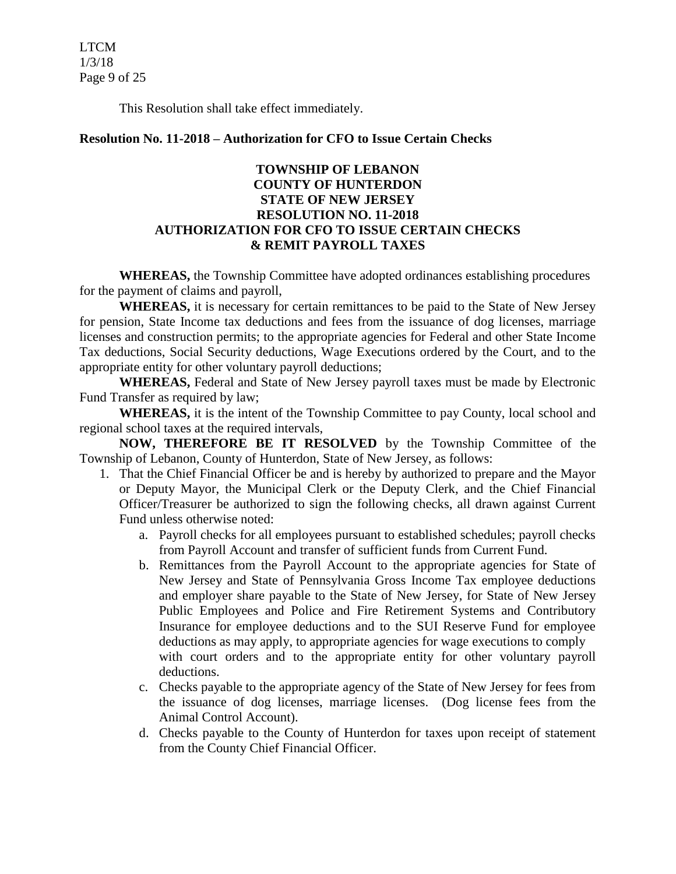LTCM 1/3/18 Page 9 of 25

This Resolution shall take effect immediately.

#### **Resolution No. 11-2018 – Authorization for CFO to Issue Certain Checks**

# **TOWNSHIP OF LEBANON COUNTY OF HUNTERDON STATE OF NEW JERSEY RESOLUTION NO. 11-2018 AUTHORIZATION FOR CFO TO ISSUE CERTAIN CHECKS & REMIT PAYROLL TAXES**

**WHEREAS,** the Township Committee have adopted ordinances establishing procedures for the payment of claims and payroll,

**WHEREAS,** it is necessary for certain remittances to be paid to the State of New Jersey for pension, State Income tax deductions and fees from the issuance of dog licenses, marriage licenses and construction permits; to the appropriate agencies for Federal and other State Income Tax deductions, Social Security deductions, Wage Executions ordered by the Court, and to the appropriate entity for other voluntary payroll deductions;

**WHEREAS,** Federal and State of New Jersey payroll taxes must be made by Electronic Fund Transfer as required by law;

**WHEREAS,** it is the intent of the Township Committee to pay County, local school and regional school taxes at the required intervals,

**NOW, THEREFORE BE IT RESOLVED** by the Township Committee of the Township of Lebanon, County of Hunterdon, State of New Jersey, as follows:

- 1. That the Chief Financial Officer be and is hereby by authorized to prepare and the Mayor or Deputy Mayor, the Municipal Clerk or the Deputy Clerk, and the Chief Financial Officer/Treasurer be authorized to sign the following checks, all drawn against Current Fund unless otherwise noted:
	- a. Payroll checks for all employees pursuant to established schedules; payroll checks from Payroll Account and transfer of sufficient funds from Current Fund.
	- b. Remittances from the Payroll Account to the appropriate agencies for State of New Jersey and State of Pennsylvania Gross Income Tax employee deductions and employer share payable to the State of New Jersey, for State of New Jersey Public Employees and Police and Fire Retirement Systems and Contributory Insurance for employee deductions and to the SUI Reserve Fund for employee deductions as may apply, to appropriate agencies for wage executions to comply with court orders and to the appropriate entity for other voluntary payroll deductions.
	- c. Checks payable to the appropriate agency of the State of New Jersey for fees from the issuance of dog licenses, marriage licenses. (Dog license fees from the Animal Control Account).
	- d. Checks payable to the County of Hunterdon for taxes upon receipt of statement from the County Chief Financial Officer.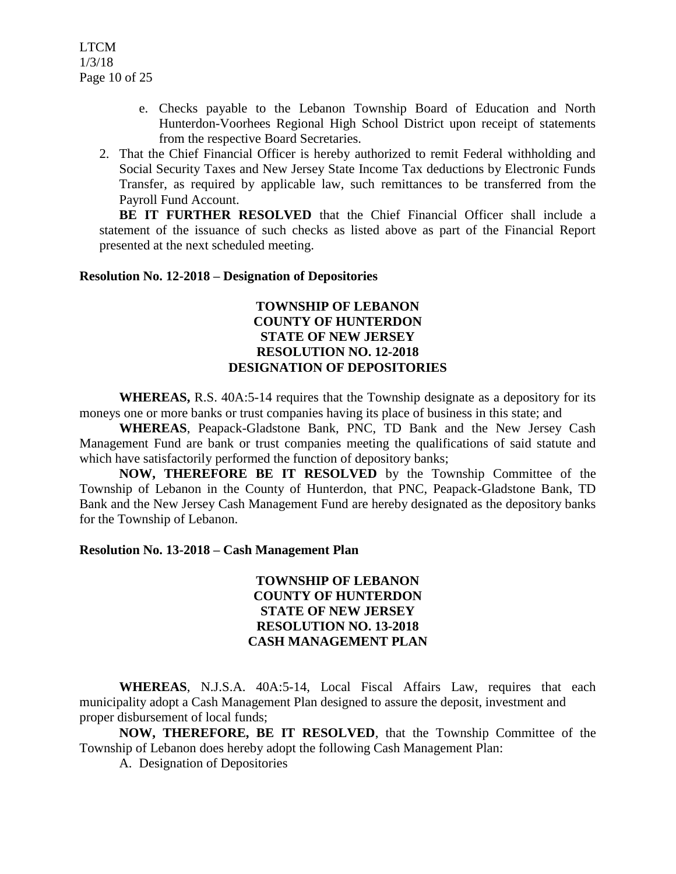- e. Checks payable to the Lebanon Township Board of Education and North Hunterdon-Voorhees Regional High School District upon receipt of statements from the respective Board Secretaries.
- 2. That the Chief Financial Officer is hereby authorized to remit Federal withholding and Social Security Taxes and New Jersey State Income Tax deductions by Electronic Funds Transfer, as required by applicable law, such remittances to be transferred from the Payroll Fund Account.

BE IT FURTHER RESOLVED that the Chief Financial Officer shall include a statement of the issuance of such checks as listed above as part of the Financial Report presented at the next scheduled meeting.

#### **Resolution No. 12-2018 – Designation of Depositories**

## **TOWNSHIP OF LEBANON COUNTY OF HUNTERDON STATE OF NEW JERSEY RESOLUTION NO. 12-2018 DESIGNATION OF DEPOSITORIES**

**WHEREAS,** R.S. 40A:5-14 requires that the Township designate as a depository for its moneys one or more banks or trust companies having its place of business in this state; and

**WHEREAS**, Peapack-Gladstone Bank, PNC, TD Bank and the New Jersey Cash Management Fund are bank or trust companies meeting the qualifications of said statute and which have satisfactorily performed the function of depository banks;

**NOW, THEREFORE BE IT RESOLVED** by the Township Committee of the Township of Lebanon in the County of Hunterdon, that PNC, Peapack-Gladstone Bank, TD Bank and the New Jersey Cash Management Fund are hereby designated as the depository banks for the Township of Lebanon.

#### **Resolution No. 13-2018 – Cash Management Plan**

## **TOWNSHIP OF LEBANON COUNTY OF HUNTERDON STATE OF NEW JERSEY RESOLUTION NO. 13-2018 CASH MANAGEMENT PLAN**

**WHEREAS**, N.J.S.A. 40A:5-14, Local Fiscal Affairs Law, requires that each municipality adopt a Cash Management Plan designed to assure the deposit, investment and proper disbursement of local funds;

**NOW, THEREFORE, BE IT RESOLVED**, that the Township Committee of the Township of Lebanon does hereby adopt the following Cash Management Plan:

A. Designation of Depositories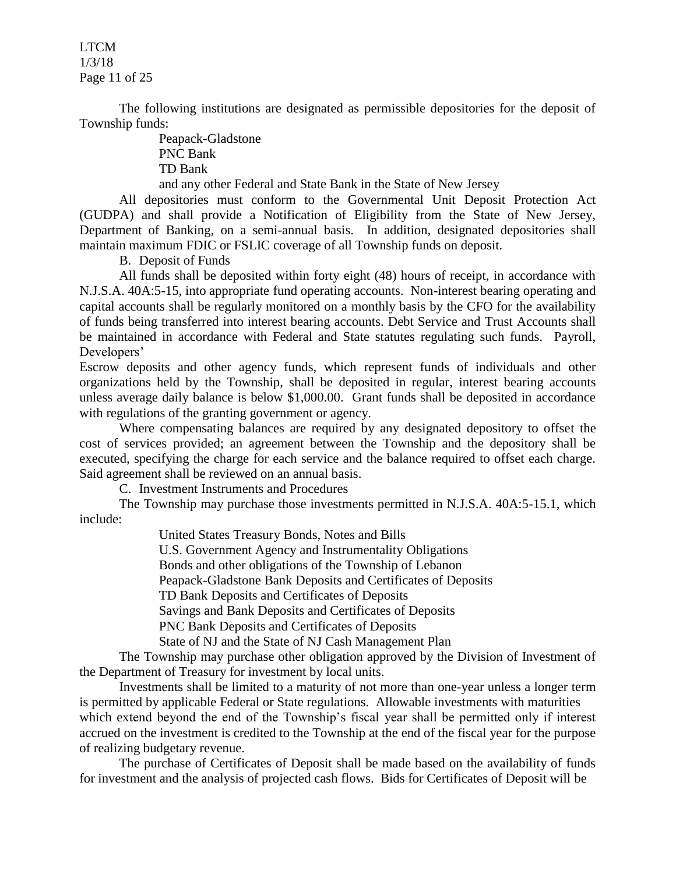LTCM 1/3/18 Page 11 of 25

The following institutions are designated as permissible depositories for the deposit of Township funds:

> Peapack-Gladstone PNC Bank TD Bank and any other Federal and State Bank in the State of New Jersey

All depositories must conform to the Governmental Unit Deposit Protection Act (GUDPA) and shall provide a Notification of Eligibility from the State of New Jersey, Department of Banking, on a semi-annual basis. In addition, designated depositories shall maintain maximum FDIC or FSLIC coverage of all Township funds on deposit.

B. Deposit of Funds

All funds shall be deposited within forty eight (48) hours of receipt, in accordance with N.J.S.A. 40A:5-15, into appropriate fund operating accounts. Non-interest bearing operating and capital accounts shall be regularly monitored on a monthly basis by the CFO for the availability of funds being transferred into interest bearing accounts. Debt Service and Trust Accounts shall be maintained in accordance with Federal and State statutes regulating such funds. Payroll, Developers'

Escrow deposits and other agency funds, which represent funds of individuals and other organizations held by the Township, shall be deposited in regular, interest bearing accounts unless average daily balance is below \$1,000.00. Grant funds shall be deposited in accordance with regulations of the granting government or agency.

Where compensating balances are required by any designated depository to offset the cost of services provided; an agreement between the Township and the depository shall be executed, specifying the charge for each service and the balance required to offset each charge. Said agreement shall be reviewed on an annual basis.

C. Investment Instruments and Procedures

The Township may purchase those investments permitted in N.J.S.A. 40A:5-15.1, which include:

> United States Treasury Bonds, Notes and Bills U.S. Government Agency and Instrumentality Obligations Bonds and other obligations of the Township of Lebanon Peapack-Gladstone Bank Deposits and Certificates of Deposits TD Bank Deposits and Certificates of Deposits Savings and Bank Deposits and Certificates of Deposits PNC Bank Deposits and Certificates of Deposits State of NJ and the State of NJ Cash Management Plan

The Township may purchase other obligation approved by the Division of Investment of the Department of Treasury for investment by local units.

Investments shall be limited to a maturity of not more than one-year unless a longer term is permitted by applicable Federal or State regulations. Allowable investments with maturities which extend beyond the end of the Township's fiscal year shall be permitted only if interest accrued on the investment is credited to the Township at the end of the fiscal year for the purpose of realizing budgetary revenue.

The purchase of Certificates of Deposit shall be made based on the availability of funds for investment and the analysis of projected cash flows. Bids for Certificates of Deposit will be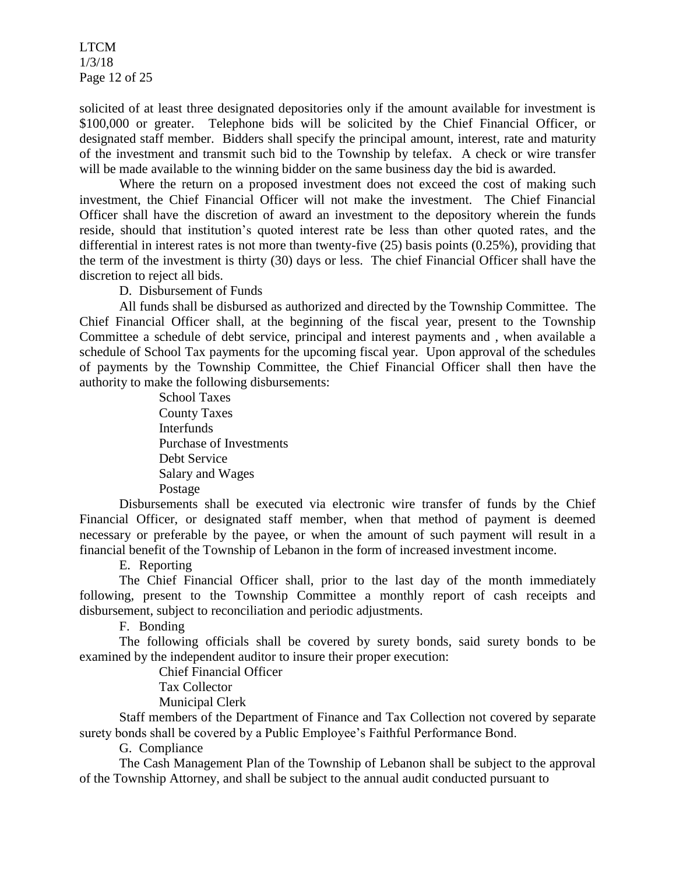LTCM 1/3/18 Page 12 of 25

solicited of at least three designated depositories only if the amount available for investment is \$100,000 or greater. Telephone bids will be solicited by the Chief Financial Officer, or designated staff member. Bidders shall specify the principal amount, interest, rate and maturity of the investment and transmit such bid to the Township by telefax. A check or wire transfer will be made available to the winning bidder on the same business day the bid is awarded.

Where the return on a proposed investment does not exceed the cost of making such investment, the Chief Financial Officer will not make the investment. The Chief Financial Officer shall have the discretion of award an investment to the depository wherein the funds reside, should that institution's quoted interest rate be less than other quoted rates, and the differential in interest rates is not more than twenty-five (25) basis points (0.25%), providing that the term of the investment is thirty (30) days or less. The chief Financial Officer shall have the discretion to reject all bids.

D. Disbursement of Funds

All funds shall be disbursed as authorized and directed by the Township Committee. The Chief Financial Officer shall, at the beginning of the fiscal year, present to the Township Committee a schedule of debt service, principal and interest payments and , when available a schedule of School Tax payments for the upcoming fiscal year. Upon approval of the schedules of payments by the Township Committee, the Chief Financial Officer shall then have the authority to make the following disbursements:

> School Taxes County Taxes **Interfunds** Purchase of Investments Debt Service Salary and Wages Postage

Disbursements shall be executed via electronic wire transfer of funds by the Chief Financial Officer, or designated staff member, when that method of payment is deemed necessary or preferable by the payee, or when the amount of such payment will result in a financial benefit of the Township of Lebanon in the form of increased investment income.

E. Reporting

The Chief Financial Officer shall, prior to the last day of the month immediately following, present to the Township Committee a monthly report of cash receipts and disbursement, subject to reconciliation and periodic adjustments.

F. Bonding

The following officials shall be covered by surety bonds, said surety bonds to be examined by the independent auditor to insure their proper execution:

Chief Financial Officer

Tax Collector

Municipal Clerk

Staff members of the Department of Finance and Tax Collection not covered by separate surety bonds shall be covered by a Public Employee's Faithful Performance Bond.

G. Compliance

The Cash Management Plan of the Township of Lebanon shall be subject to the approval of the Township Attorney, and shall be subject to the annual audit conducted pursuant to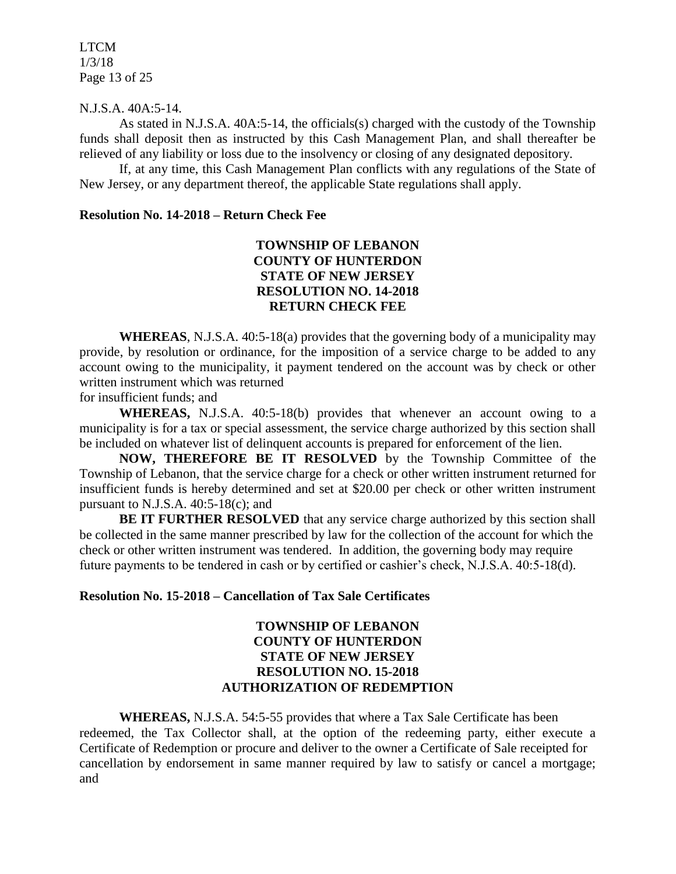LTCM 1/3/18 Page 13 of 25

#### N.J.S.A. 40A:5-14.

As stated in N.J.S.A. 40A:5-14, the officials(s) charged with the custody of the Township funds shall deposit then as instructed by this Cash Management Plan, and shall thereafter be relieved of any liability or loss due to the insolvency or closing of any designated depository.

If, at any time, this Cash Management Plan conflicts with any regulations of the State of New Jersey, or any department thereof, the applicable State regulations shall apply.

#### **Resolution No. 14-2018 – Return Check Fee**

# **TOWNSHIP OF LEBANON COUNTY OF HUNTERDON STATE OF NEW JERSEY RESOLUTION NO. 14-2018 RETURN CHECK FEE**

**WHEREAS**, N.J.S.A. 40:5-18(a) provides that the governing body of a municipality may provide, by resolution or ordinance, for the imposition of a service charge to be added to any account owing to the municipality, it payment tendered on the account was by check or other written instrument which was returned

for insufficient funds; and

**WHEREAS,** N.J.S.A. 40:5-18(b) provides that whenever an account owing to a municipality is for a tax or special assessment, the service charge authorized by this section shall be included on whatever list of delinquent accounts is prepared for enforcement of the lien.

**NOW, THEREFORE BE IT RESOLVED** by the Township Committee of the Township of Lebanon, that the service charge for a check or other written instrument returned for insufficient funds is hereby determined and set at \$20.00 per check or other written instrument pursuant to N.J.S.A.  $40:5-18(c)$ ; and

**BE IT FURTHER RESOLVED** that any service charge authorized by this section shall be collected in the same manner prescribed by law for the collection of the account for which the check or other written instrument was tendered. In addition, the governing body may require future payments to be tendered in cash or by certified or cashier's check, N.J.S.A. 40:5-18(d).

#### **Resolution No. 15-2018 – Cancellation of Tax Sale Certificates**

# **TOWNSHIP OF LEBANON COUNTY OF HUNTERDON STATE OF NEW JERSEY RESOLUTION NO. 15-2018 AUTHORIZATION OF REDEMPTION**

**WHEREAS,** N.J.S.A. 54:5-55 provides that where a Tax Sale Certificate has been redeemed, the Tax Collector shall, at the option of the redeeming party, either execute a Certificate of Redemption or procure and deliver to the owner a Certificate of Sale receipted for cancellation by endorsement in same manner required by law to satisfy or cancel a mortgage; and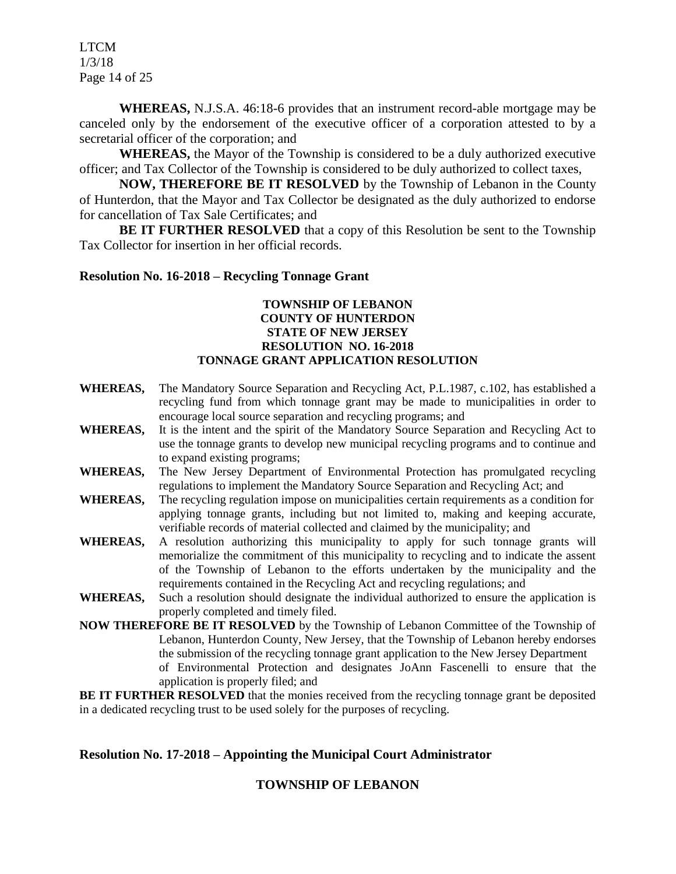LTCM 1/3/18 Page 14 of 25

**WHEREAS,** N.J.S.A. 46:18-6 provides that an instrument record-able mortgage may be canceled only by the endorsement of the executive officer of a corporation attested to by a secretarial officer of the corporation; and

**WHEREAS,** the Mayor of the Township is considered to be a duly authorized executive officer; and Tax Collector of the Township is considered to be duly authorized to collect taxes,

**NOW, THEREFORE BE IT RESOLVED** by the Township of Lebanon in the County of Hunterdon, that the Mayor and Tax Collector be designated as the duly authorized to endorse for cancellation of Tax Sale Certificates; and

**BE IT FURTHER RESOLVED** that a copy of this Resolution be sent to the Township Tax Collector for insertion in her official records.

#### **Resolution No. 16-2018 – Recycling Tonnage Grant**

#### **TOWNSHIP OF LEBANON COUNTY OF HUNTERDON STATE OF NEW JERSEY RESOLUTION NO. 16-2018 TONNAGE GRANT APPLICATION RESOLUTION**

- **WHEREAS,** The Mandatory Source Separation and Recycling Act, P.L.1987, c.102, has established a recycling fund from which tonnage grant may be made to municipalities in order to encourage local source separation and recycling programs; and
- **WHEREAS,** It is the intent and the spirit of the Mandatory Source Separation and Recycling Act to use the tonnage grants to develop new municipal recycling programs and to continue and to expand existing programs;
- **WHEREAS,** The New Jersey Department of Environmental Protection has promulgated recycling regulations to implement the Mandatory Source Separation and Recycling Act; and
- **WHEREAS,** The recycling regulation impose on municipalities certain requirements as a condition for applying tonnage grants, including but not limited to, making and keeping accurate, verifiable records of material collected and claimed by the municipality; and
- **WHEREAS,** A resolution authorizing this municipality to apply for such tonnage grants will memorialize the commitment of this municipality to recycling and to indicate the assent of the Township of Lebanon to the efforts undertaken by the municipality and the requirements contained in the Recycling Act and recycling regulations; and
- **WHEREAS,** Such a resolution should designate the individual authorized to ensure the application is properly completed and timely filed.
- **NOW THEREFORE BE IT RESOLVED** by the Township of Lebanon Committee of the Township of Lebanon, Hunterdon County, New Jersey, that the Township of Lebanon hereby endorses the submission of the recycling tonnage grant application to the New Jersey Department of Environmental Protection and designates JoAnn Fascenelli to ensure that the application is properly filed; and

**BE IT FURTHER RESOLVED** that the monies received from the recycling tonnage grant be deposited in a dedicated recycling trust to be used solely for the purposes of recycling.

#### **Resolution No. 17-2018 – Appointing the Municipal Court Administrator**

# **TOWNSHIP OF LEBANON**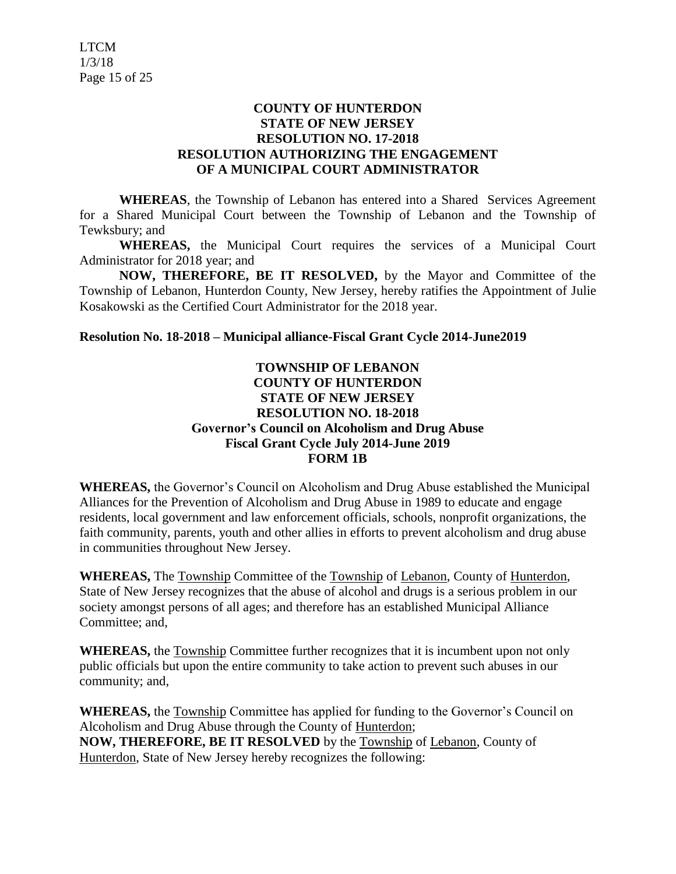# **COUNTY OF HUNTERDON STATE OF NEW JERSEY RESOLUTION NO. 17-2018 RESOLUTION AUTHORIZING THE ENGAGEMENT OF A MUNICIPAL COURT ADMINISTRATOR**

**WHEREAS**, the Township of Lebanon has entered into a Shared Services Agreement for a Shared Municipal Court between the Township of Lebanon and the Township of Tewksbury; and

**WHEREAS,** the Municipal Court requires the services of a Municipal Court Administrator for 2018 year; and

**NOW, THEREFORE, BE IT RESOLVED,** by the Mayor and Committee of the Township of Lebanon, Hunterdon County, New Jersey, hereby ratifies the Appointment of Julie Kosakowski as the Certified Court Administrator for the 2018 year.

# **Resolution No. 18-2018 – Municipal alliance-Fiscal Grant Cycle 2014-June2019**

# **TOWNSHIP OF LEBANON COUNTY OF HUNTERDON STATE OF NEW JERSEY RESOLUTION NO. 18-2018 Governor's Council on Alcoholism and Drug Abuse Fiscal Grant Cycle July 2014-June 2019 FORM 1B**

**WHEREAS,** the Governor's Council on Alcoholism and Drug Abuse established the Municipal Alliances for the Prevention of Alcoholism and Drug Abuse in 1989 to educate and engage residents, local government and law enforcement officials, schools, nonprofit organizations, the faith community, parents, youth and other allies in efforts to prevent alcoholism and drug abuse in communities throughout New Jersey.

**WHEREAS,** The Township Committee of the Township of Lebanon, County of Hunterdon, State of New Jersey recognizes that the abuse of alcohol and drugs is a serious problem in our society amongst persons of all ages; and therefore has an established Municipal Alliance Committee; and,

**WHEREAS,** the Township Committee further recognizes that it is incumbent upon not only public officials but upon the entire community to take action to prevent such abuses in our community; and,

**WHEREAS,** the Township Committee has applied for funding to the Governor's Council on Alcoholism and Drug Abuse through the County of Hunterdon; **NOW, THEREFORE, BE IT RESOLVED** by the Township of Lebanon, County of Hunterdon, State of New Jersey hereby recognizes the following: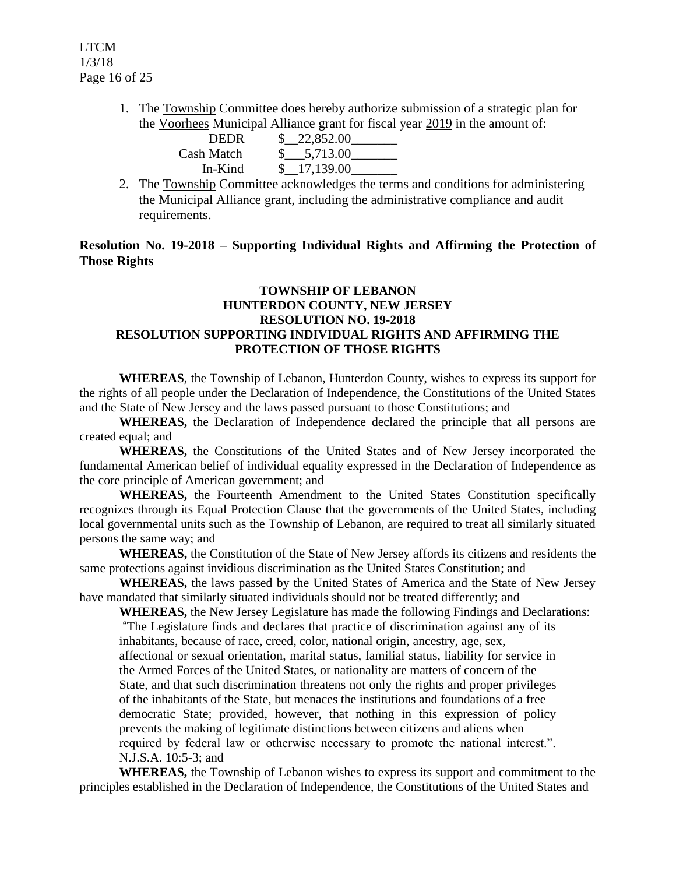1. The Township Committee does hereby authorize submission of a strategic plan for the Voorhees Municipal Alliance grant for fiscal year 2019 in the amount of:

| <b>DEDR</b> | 22,852.00 |  |
|-------------|-----------|--|
| Cash Match  | 5,713.00  |  |
| In-Kind     | 17,139.00 |  |

2. The Township Committee acknowledges the terms and conditions for administering the Municipal Alliance grant, including the administrative compliance and audit requirements.

# **Resolution No. 19-2018 – Supporting Individual Rights and Affirming the Protection of Those Rights**

#### **TOWNSHIP OF LEBANON HUNTERDON COUNTY, NEW JERSEY RESOLUTION NO. 19-2018 RESOLUTION SUPPORTING INDIVIDUAL RIGHTS AND AFFIRMING THE PROTECTION OF THOSE RIGHTS**

**WHEREAS**, the Township of Lebanon, Hunterdon County, wishes to express its support for the rights of all people under the Declaration of Independence, the Constitutions of the United States and the State of New Jersey and the laws passed pursuant to those Constitutions; and

**WHEREAS,** the Declaration of Independence declared the principle that all persons are created equal; and

**WHEREAS,** the Constitutions of the United States and of New Jersey incorporated the fundamental American belief of individual equality expressed in the Declaration of Independence as the core principle of American government; and

**WHEREAS,** the Fourteenth Amendment to the United States Constitution specifically recognizes through its Equal Protection Clause that the governments of the United States, including local governmental units such as the Township of Lebanon, are required to treat all similarly situated persons the same way; and

**WHEREAS,** the Constitution of the State of New Jersey affords its citizens and residents the same protections against invidious discrimination as the United States Constitution; and

**WHEREAS,** the laws passed by the United States of America and the State of New Jersey have mandated that similarly situated individuals should not be treated differently; and

**WHEREAS,** the New Jersey Legislature has made the following Findings and Declarations:

"The Legislature finds and declares that practice of discrimination against any of its inhabitants, because of race, creed, color, national origin, ancestry, age, sex, affectional or sexual orientation, marital status, familial status, liability for service in the Armed Forces of the United States, or nationality are matters of concern of the State, and that such discrimination threatens not only the rights and proper privileges of the inhabitants of the State, but menaces the institutions and foundations of a free democratic State; provided, however, that nothing in this expression of policy prevents the making of legitimate distinctions between citizens and aliens when required by federal law or otherwise necessary to promote the national interest.". N.J.S.A. 10:5-3; and

**WHEREAS,** the Township of Lebanon wishes to express its support and commitment to the principles established in the Declaration of Independence, the Constitutions of the United States and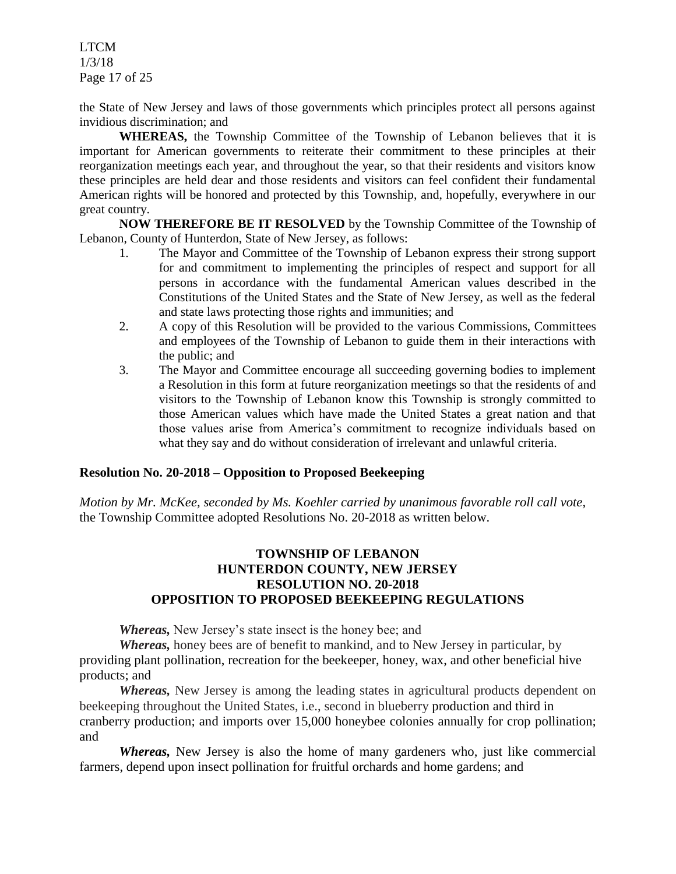LTCM 1/3/18 Page 17 of 25

the State of New Jersey and laws of those governments which principles protect all persons against invidious discrimination; and

**WHEREAS,** the Township Committee of the Township of Lebanon believes that it is important for American governments to reiterate their commitment to these principles at their reorganization meetings each year, and throughout the year, so that their residents and visitors know these principles are held dear and those residents and visitors can feel confident their fundamental American rights will be honored and protected by this Township, and, hopefully, everywhere in our great country.

**NOW THEREFORE BE IT RESOLVED** by the Township Committee of the Township of Lebanon, County of Hunterdon, State of New Jersey, as follows:

- 1. The Mayor and Committee of the Township of Lebanon express their strong support for and commitment to implementing the principles of respect and support for all persons in accordance with the fundamental American values described in the Constitutions of the United States and the State of New Jersey, as well as the federal and state laws protecting those rights and immunities; and
- 2. A copy of this Resolution will be provided to the various Commissions, Committees and employees of the Township of Lebanon to guide them in their interactions with the public; and
- 3. The Mayor and Committee encourage all succeeding governing bodies to implement a Resolution in this form at future reorganization meetings so that the residents of and visitors to the Township of Lebanon know this Township is strongly committed to those American values which have made the United States a great nation and that those values arise from America's commitment to recognize individuals based on what they say and do without consideration of irrelevant and unlawful criteria.

#### **Resolution No. 20-2018 – Opposition to Proposed Beekeeping**

*Motion by Mr. McKee, seconded by Ms. Koehler carried by unanimous favorable roll call vote,* the Township Committee adopted Resolutions No. 20-2018 as written below.

# **TOWNSHIP OF LEBANON HUNTERDON COUNTY, NEW JERSEY RESOLUTION NO. 20-2018 OPPOSITION TO PROPOSED BEEKEEPING REGULATIONS**

*Whereas,* New Jersey's state insect is the honey bee; and

*Whereas,* honey bees are of benefit to mankind, and to New Jersey in particular, by providing plant pollination, recreation for the beekeeper, honey, wax, and other beneficial hive products; and

*Whereas*, New Jersey is among the leading states in agricultural products dependent on beekeeping throughout the United States, i.e., second in blueberry production and third in cranberry production; and imports over 15,000 honeybee colonies annually for crop pollination; and

*Whereas,* New Jersey is also the home of many gardeners who, just like commercial farmers, depend upon insect pollination for fruitful orchards and home gardens; and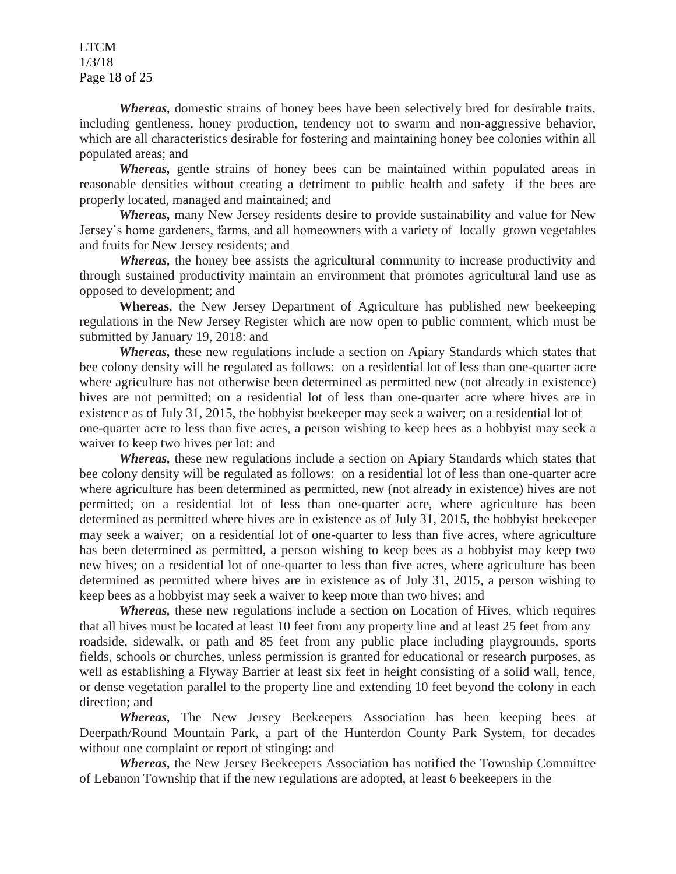LTCM 1/3/18 Page 18 of 25

*Whereas,* domestic strains of honey bees have been selectively bred for desirable traits, including gentleness, honey production, tendency not to swarm and non-aggressive behavior, which are all characteristics desirable for fostering and maintaining honey bee colonies within all populated areas; and

*Whereas,* gentle strains of honey bees can be maintained within populated areas in reasonable densities without creating a detriment to public health and safety if the bees are properly located, managed and maintained; and

*Whereas,* many New Jersey residents desire to provide sustainability and value for New Jersey's home gardeners, farms, and all homeowners with a variety of locally grown vegetables and fruits for New Jersey residents; and

*Whereas,* the honey bee assists the agricultural community to increase productivity and through sustained productivity maintain an environment that promotes agricultural land use as opposed to development; and

**Whereas**, the New Jersey Department of Agriculture has published new beekeeping regulations in the New Jersey Register which are now open to public comment, which must be submitted by January 19, 2018: and

*Whereas,* these new regulations include a section on Apiary Standards which states that bee colony density will be regulated as follows: on a residential lot of less than one-quarter acre where agriculture has not otherwise been determined as permitted new (not already in existence) hives are not permitted; on a residential lot of less than one-quarter acre where hives are in existence as of July 31, 2015, the hobbyist beekeeper may seek a waiver; on a residential lot of one-quarter acre to less than five acres, a person wishing to keep bees as a hobbyist may seek a waiver to keep two hives per lot: and

*Whereas,* these new regulations include a section on Apiary Standards which states that bee colony density will be regulated as follows: on a residential lot of less than one-quarter acre where agriculture has been determined as permitted, new (not already in existence) hives are not permitted; on a residential lot of less than one-quarter acre, where agriculture has been determined as permitted where hives are in existence as of July 31, 2015, the hobbyist beekeeper may seek a waiver; on a residential lot of one-quarter to less than five acres, where agriculture has been determined as permitted, a person wishing to keep bees as a hobbyist may keep two new hives; on a residential lot of one-quarter to less than five acres, where agriculture has been determined as permitted where hives are in existence as of July 31, 2015, a person wishing to keep bees as a hobbyist may seek a waiver to keep more than two hives; and

*Whereas,* these new regulations include a section on Location of Hives, which requires that all hives must be located at least 10 feet from any property line and at least 25 feet from any roadside, sidewalk, or path and 85 feet from any public place including playgrounds, sports fields, schools or churches, unless permission is granted for educational or research purposes, as well as establishing a Flyway Barrier at least six feet in height consisting of a solid wall, fence, or dense vegetation parallel to the property line and extending 10 feet beyond the colony in each direction; and

*Whereas,* The New Jersey Beekeepers Association has been keeping bees at Deerpath/Round Mountain Park, a part of the Hunterdon County Park System, for decades without one complaint or report of stinging: and

*Whereas,* the New Jersey Beekeepers Association has notified the Township Committee of Lebanon Township that if the new regulations are adopted, at least 6 beekeepers in the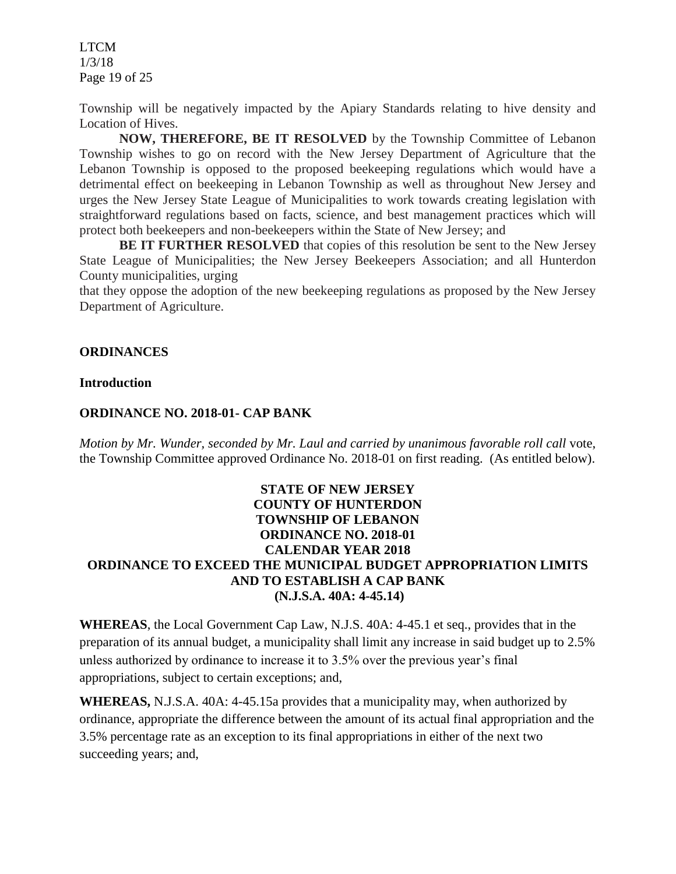LTCM 1/3/18 Page 19 of 25

Township will be negatively impacted by the Apiary Standards relating to hive density and Location of Hives.

**NOW, THEREFORE, BE IT RESOLVED** by the Township Committee of Lebanon Township wishes to go on record with the New Jersey Department of Agriculture that the Lebanon Township is opposed to the proposed beekeeping regulations which would have a detrimental effect on beekeeping in Lebanon Township as well as throughout New Jersey and urges the New Jersey State League of Municipalities to work towards creating legislation with straightforward regulations based on facts, science, and best management practices which will protect both beekeepers and non-beekeepers within the State of New Jersey; and

BE IT FURTHER RESOLVED that copies of this resolution be sent to the New Jersey State League of Municipalities; the New Jersey Beekeepers Association; and all Hunterdon County municipalities, urging

that they oppose the adoption of the new beekeeping regulations as proposed by the New Jersey Department of Agriculture.

#### **ORDINANCES**

#### **Introduction**

#### **ORDINANCE NO. 2018-01- CAP BANK**

*Motion by Mr. Wunder, seconded by Mr. Laul and carried by unanimous favorable roll call* vote, the Township Committee approved Ordinance No. 2018-01 on first reading. (As entitled below).

# **STATE OF NEW JERSEY COUNTY OF HUNTERDON TOWNSHIP OF LEBANON ORDINANCE NO. 2018-01 CALENDAR YEAR 2018 ORDINANCE TO EXCEED THE MUNICIPAL BUDGET APPROPRIATION LIMITS AND TO ESTABLISH A CAP BANK (N.J.S.A. 40A: 4-45.14)**

**WHEREAS**, the Local Government Cap Law, N.J.S. 40A: 4-45.1 et seq., provides that in the preparation of its annual budget, a municipality shall limit any increase in said budget up to 2.5% unless authorized by ordinance to increase it to 3.5% over the previous year's final appropriations, subject to certain exceptions; and,

**WHEREAS,** N.J.S.A. 40A: 4-45.15a provides that a municipality may, when authorized by ordinance, appropriate the difference between the amount of its actual final appropriation and the 3.5% percentage rate as an exception to its final appropriations in either of the next two succeeding years; and,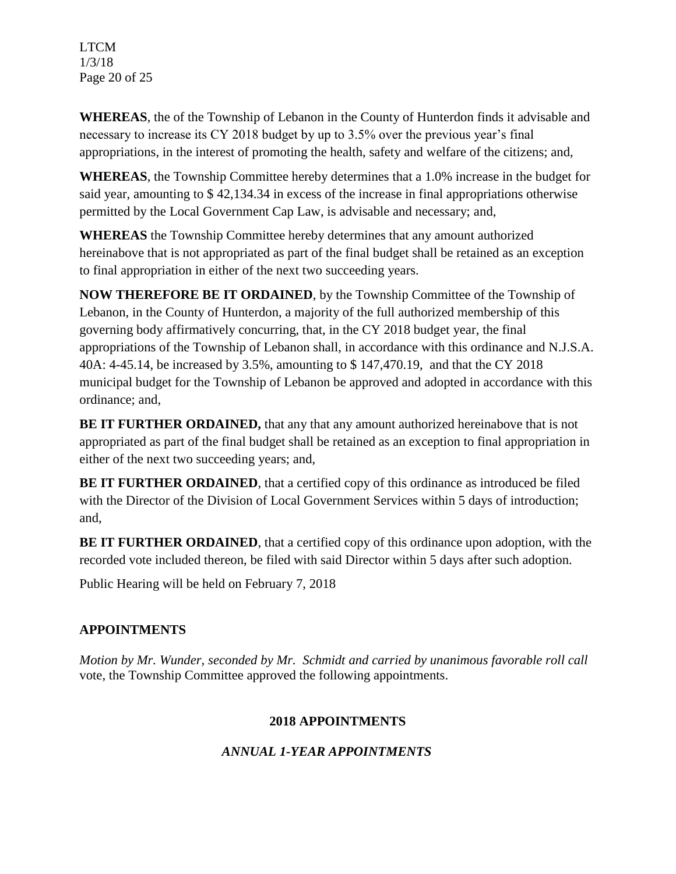LTCM 1/3/18 Page 20 of 25

**WHEREAS**, the of the Township of Lebanon in the County of Hunterdon finds it advisable and necessary to increase its CY 2018 budget by up to 3.5% over the previous year's final appropriations, in the interest of promoting the health, safety and welfare of the citizens; and,

**WHEREAS**, the Township Committee hereby determines that a 1.0% increase in the budget for said year, amounting to \$ 42,134.34 in excess of the increase in final appropriations otherwise permitted by the Local Government Cap Law, is advisable and necessary; and,

**WHEREAS** the Township Committee hereby determines that any amount authorized hereinabove that is not appropriated as part of the final budget shall be retained as an exception to final appropriation in either of the next two succeeding years.

**NOW THEREFORE BE IT ORDAINED**, by the Township Committee of the Township of Lebanon, in the County of Hunterdon, a majority of the full authorized membership of this governing body affirmatively concurring, that, in the CY 2018 budget year, the final appropriations of the Township of Lebanon shall, in accordance with this ordinance and N.J.S.A. 40A: 4-45.14, be increased by 3.5%, amounting to \$ 147,470.19, and that the CY 2018 municipal budget for the Township of Lebanon be approved and adopted in accordance with this ordinance; and,

**BE IT FURTHER ORDAINED,** that any that any amount authorized hereinabove that is not appropriated as part of the final budget shall be retained as an exception to final appropriation in either of the next two succeeding years; and,

**BE IT FURTHER ORDAINED**, that a certified copy of this ordinance as introduced be filed with the Director of the Division of Local Government Services within 5 days of introduction; and,

**BE IT FURTHER ORDAINED,** that a certified copy of this ordinance upon adoption, with the recorded vote included thereon, be filed with said Director within 5 days after such adoption.

Public Hearing will be held on February 7, 2018

# **APPOINTMENTS**

*Motion by Mr. Wunder, seconded by Mr. Schmidt and carried by unanimous favorable roll call*  vote, the Township Committee approved the following appointments.

# **2018 APPOINTMENTS**

# *ANNUAL 1-YEAR APPOINTMENTS*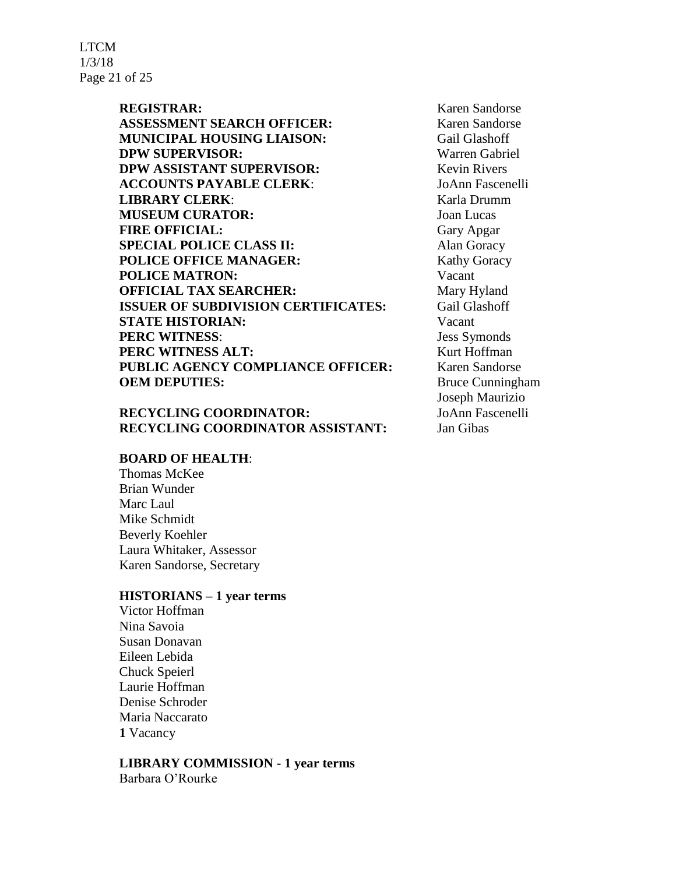LTCM 1/3/18 Page 21 of 25

> **ASSESSMENT SEARCH OFFICER:** Karen Sandorse **MUNICIPAL HOUSING LIAISON:** Gail Glashoff

**DPW SUPERVISOR:** Warren Gabriel **DPW ASSISTANT SUPERVISOR:** Kevin Rivers **ACCOUNTS PAYABLE CLERK**: JoAnn Fascenelli **LIBRARY CLERK:** Karla Drumm **MUSEUM CURATOR:** Joan Lucas **FIRE OFFICIAL:** Gary Apgar **SPECIAL POLICE CLASS II:** Alan Goracy **POLICE OFFICE MANAGER:** Kathy Goracy **POLICE MATRON:** Vacant **OFFICIAL TAX SEARCHER:** Mary Hyland **ISSUER OF SUBDIVISION CERTIFICATES:** Gail Glashoff **STATE HISTORIAN:** Vacant **PERC WITNESS:** Jess Symonds **PERC WITNESS ALT:** Kurt Hoffman **PUBLIC AGENCY COMPLIANCE OFFICER:** Karen Sandorse **OEM DEPUTIES:** Bruce Cunningham

# **RECYCLING COORDINATOR:** JoAnn Fascenelli **RECYCLING COORDINATOR ASSISTANT:** Jan Gibas

# **BOARD OF HEALTH**:

Thomas McKee Brian Wunder Marc Laul Mike Schmidt Beverly Koehler Laura Whitaker, Assessor Karen Sandorse, Secretary

# **HISTORIANS – 1 year terms**

Victor Hoffman Nina Savoia Susan Donavan Eileen Lebida Chuck Speierl Laurie Hoffman Denise Schroder Maria Naccarato **1** Vacancy

#### **LIBRARY COMMISSION - 1 year terms**

Barbara O'Rourke

**REGISTRAR:** Karen Sandorse Joseph Maurizio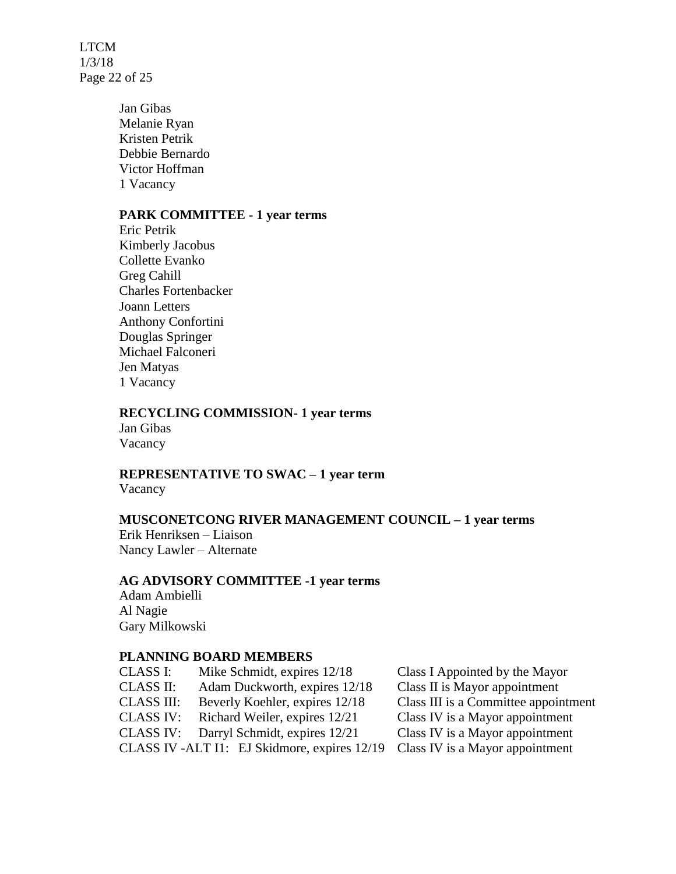LTCM 1/3/18 Page 22 of 25

> Jan Gibas Melanie Ryan Kristen Petrik Debbie Bernardo Victor Hoffman 1 Vacancy

#### **PARK COMMITTEE - 1 year terms**

Eric Petrik Kimberly Jacobus Collette Evanko Greg Cahill Charles Fortenbacker Joann Letters Anthony Confortini Douglas Springer Michael Falconeri Jen Matyas 1 Vacancy

#### **RECYCLING COMMISSION- 1 year terms**

Jan Gibas Vacancy

# **REPRESENTATIVE TO SWAC – 1 year term**

Vacancy

# **MUSCONETCONG RIVER MANAGEMENT COUNCIL – 1 year terms**

Erik Henriksen – Liaison Nancy Lawler – Alternate

# **AG ADVISORY COMMITTEE -1 year terms**

Adam Ambielli Al Nagie Gary Milkowski

#### **PLANNING BOARD MEMBERS**

| <b>CLASS I:</b>   | Mike Schmidt, expires 12/18                  | Class I Appointed by the Mayor       |
|-------------------|----------------------------------------------|--------------------------------------|
| <b>CLASS II:</b>  | Adam Duckworth, expires 12/18                | Class II is Mayor appointment        |
| <b>CLASS III:</b> | Beverly Koehler, expires 12/18               | Class III is a Committee appointment |
| <b>CLASS IV:</b>  | Richard Weiler, expires 12/21                | Class IV is a Mayor appointment      |
| <b>CLASS IV:</b>  | Darryl Schmidt, expires 12/21                | Class IV is a Mayor appointment      |
|                   | CLASS IV -ALT I1: EJ Skidmore, expires 12/19 | Class IV is a Mayor appointment      |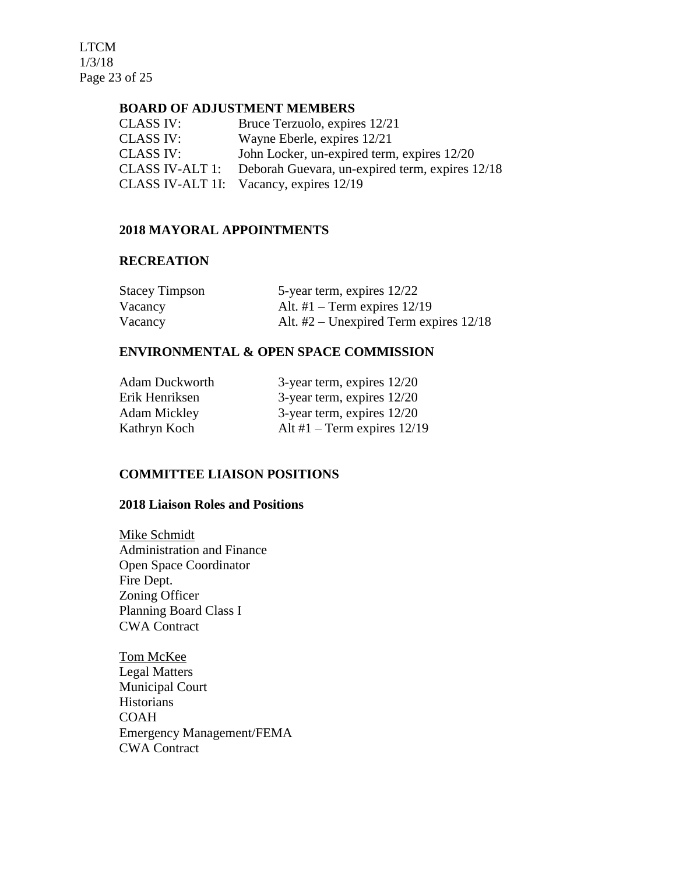LTCM 1/3/18 Page 23 of 25

#### **BOARD OF ADJUSTMENT MEMBERS**

| <b>CLASS IV:</b> | Bruce Terzuolo, expires 12/21                   |
|------------------|-------------------------------------------------|
| <b>CLASS IV:</b> | Wayne Eberle, expires 12/21                     |
| <b>CLASS IV:</b> | John Locker, un-expired term, expires 12/20     |
| CLASS IV-ALT 1:  | Deborah Guevara, un-expired term, expires 12/18 |
| CLASS IV-ALT 1I: | Vacancy, expires 12/19                          |

#### **2018 MAYORAL APPOINTMENTS**

#### **RECREATION**

| <b>Stacey Timpson</b> | 5-year term, expires 12/22               |
|-----------------------|------------------------------------------|
| Vacancy               | Alt. #1 – Term expires $12/19$           |
| Vacancy               | Alt. $#2$ – Unexpired Term expires 12/18 |

## **ENVIRONMENTAL & OPEN SPACE COMMISSION**

| <b>Adam Duckworth</b> | 3-year term, expires $12/20$  |
|-----------------------|-------------------------------|
| Erik Henriksen        | 3-year term, expires $12/20$  |
| Adam Mickley          | 3-year term, expires $12/20$  |
| Kathryn Koch          | Alt #1 – Term expires $12/19$ |

# **COMMITTEE LIAISON POSITIONS**

## **2018 Liaison Roles and Positions**

Mike Schmidt Administration and Finance Open Space Coordinator Fire Dept. Zoning Officer Planning Board Class I CWA Contract

Tom McKee Legal Matters Municipal Court Historians COAH Emergency Management/FEMA CWA Contract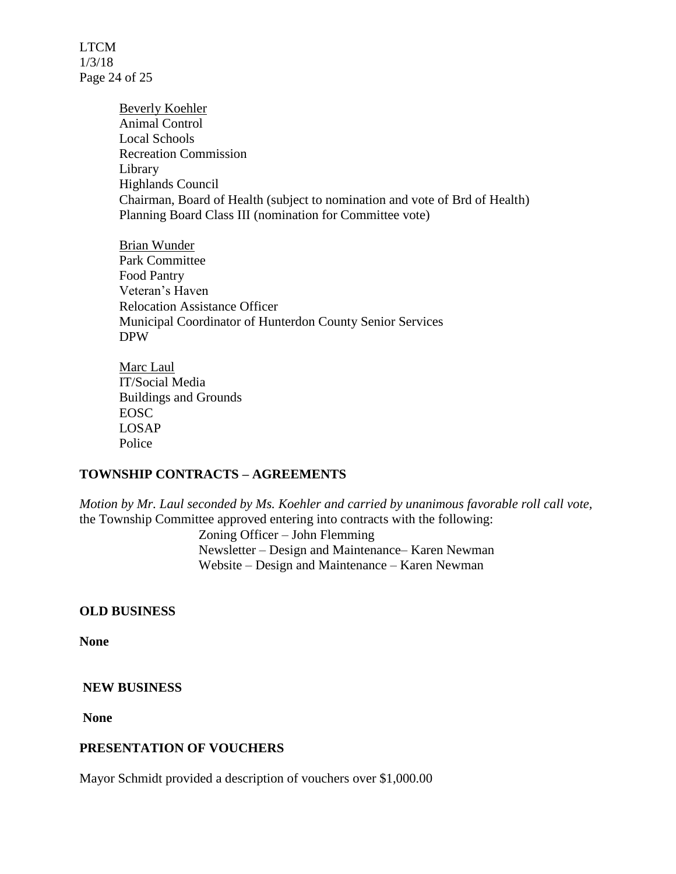LTCM 1/3/18 Page 24 of 25

> Beverly Koehler Animal Control Local Schools Recreation Commission Library Highlands Council Chairman, Board of Health (subject to nomination and vote of Brd of Health) Planning Board Class III (nomination for Committee vote)

Brian Wunder Park Committee Food Pantry Veteran's Haven Relocation Assistance Officer Municipal Coordinator of Hunterdon County Senior Services DPW

Marc Laul IT/Social Media Buildings and Grounds EOSC LOSAP Police

### **TOWNSHIP CONTRACTS – AGREEMENTS**

*Motion by Mr. Laul seconded by Ms. Koehler and carried by unanimous favorable roll call vote,*  the Township Committee approved entering into contracts with the following:

> Zoning Officer – John Flemming Newsletter – Design and Maintenance– Karen Newman Website – Design and Maintenance – Karen Newman

#### **OLD BUSINESS**

**None**

#### **NEW BUSINESS**

**None**

#### **PRESENTATION OF VOUCHERS**

Mayor Schmidt provided a description of vouchers over \$1,000.00